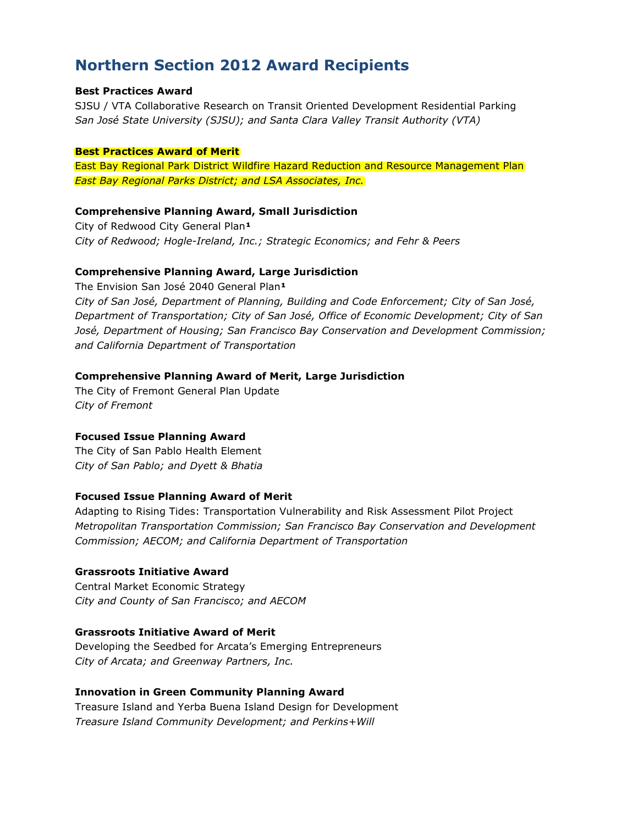# Northern Section 2012 Award Recipients

#### Best Practices Award

SJSU / VTA Collaborative Research on Transit Oriented Development Residential Parking San José State University (SJSU); and Santa Clara Valley Transit Authority (VTA)

#### Best Practices Award of Merit

East Bay Regional Park District Wildfire Hazard Reduction and Resource Management Plan East Bay Regional Parks District; and LSA Associates, Inc.

# Comprehensive Planning Award, Small Jurisdiction

City of Redwood City General Plan<sup>1</sup> City of Redwood; Hogle-Ireland, Inc.; Strategic Economics; and Fehr & Peers

# Comprehensive Planning Award, Large Jurisdiction

The Envision San José 2040 General Plan<sup>1</sup> City of San José, Department of Planning, Building and Code Enforcement; City of San José, Department of Transportation; City of San José, Office of Economic Development; City of San José, Department of Housing; San Francisco Bay Conservation and Development Commission; and California Department of Transportation

# Comprehensive Planning Award of Merit, Large Jurisdiction

The City of Fremont General Plan Update City of Fremont

## Focused Issue Planning Award

The City of San Pablo Health Element City of San Pablo; and Dyett & Bhatia

# Focused Issue Planning Award of Merit

Adapting to Rising Tides: Transportation Vulnerability and Risk Assessment Pilot Project Metropolitan Transportation Commission; San Francisco Bay Conservation and Development Commission; AECOM; and California Department of Transportation

## Grassroots Initiative Award

Central Market Economic Strategy City and County of San Francisco; and AECOM

## Grassroots Initiative Award of Merit

Developing the Seedbed for Arcata's Emerging Entrepreneurs City of Arcata; and Greenway Partners, Inc.

## Innovation in Green Community Planning Award

Treasure Island and Yerba Buena Island Design for Development Treasure Island Community Development; and Perkins+Will